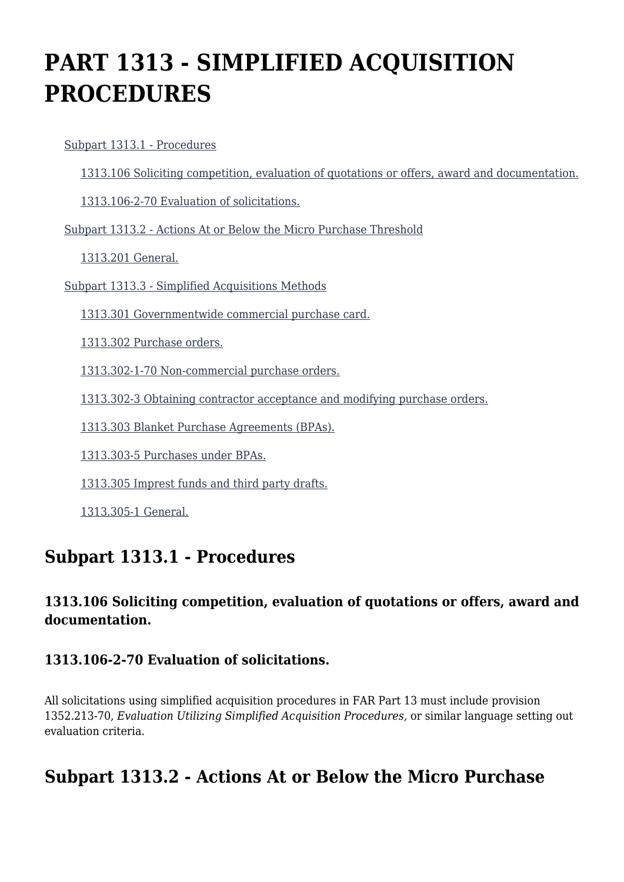# **PART 1313 - SIMPLIFIED ACQUISITION PROCEDURES**

[Subpart 1313.1 - Procedures](https://login.acquisition.gov/%5Brp:link:car-part-1313%5D#Subpart_1313_1_T48_50645131)

[1313.106 Soliciting competition, evaluation of quotations or offers, award and documentation.](https://login.acquisition.gov/%5Brp:link:car-part-1313%5D#Section_1313_106_T48_5064513111)

[1313.106-2-70 Evaluation of solicitations.](https://login.acquisition.gov/%5Brp:link:car-part-1313%5D#Section_1313_106_2_70_T48_5064513112)

[Subpart 1313.2 - Actions At or Below the Micro Purchase Threshold](https://login.acquisition.gov/%5Brp:link:car-part-1313%5D#Subpart_1313_2_T48_50645132)

[1313.201 General.](https://login.acquisition.gov/%5Brp:link:car-part-1313%5D#Section_1313_201_T48_5064513211)

[Subpart 1313.3 - Simplified Acquisitions Methods](https://login.acquisition.gov/%5Brp:link:car-part-1313%5D#Subpart_1313_3_T48_50645133)

[1313.301 Governmentwide commercial purchase card.](https://login.acquisition.gov/%5Brp:link:car-part-1313%5D#Section_1313_301_T48_5064513311)

[1313.302 Purchase orders.](https://login.acquisition.gov/%5Brp:link:car-part-1313%5D#Section_1313_302_T48_5064513312)

[1313.302-1-70 Non-commercial purchase orders.](https://login.acquisition.gov/%5Brp:link:car-part-1313%5D#Section_1313_302_1_70_T48_5064513313)

[1313.302-3 Obtaining contractor acceptance and modifying purchase orders.](https://login.acquisition.gov/%5Brp:link:car-part-1313%5D#Section_1313_302_3_T48_5064513314)

[1313.303 Blanket Purchase Agreements \(BPAs\).](https://login.acquisition.gov/%5Brp:link:car-part-1313%5D#Section_1313_303_T48_5064513315)

[1313.303-5 Purchases under BPAs.](https://login.acquisition.gov/%5Brp:link:car-part-1313%5D#Section_1313_303_5_T48_5064513316)

[1313.305 Imprest funds and third party drafts.](https://login.acquisition.gov/%5Brp:link:car-part-1313%5D#Section_1313_305_T48_5064513317)

[1313.305-1 General.](https://login.acquisition.gov/%5Brp:link:car-part-1313%5D#Section_1313_305_1_T48_5064513318)

### **Subpart 1313.1 - Procedures**

#### **1313.106 Soliciting competition, evaluation of quotations or offers, award and documentation.**

#### **1313.106-2-70 Evaluation of solicitations.**

All solicitations using simplified acquisition procedures in FAR Part 13 must include provision 1352.213-70, *Evaluation Utilizing Simplified Acquisition Procedures,* or similar language setting out evaluation criteria.

### **Subpart 1313.2 - Actions At or Below the Micro Purchase**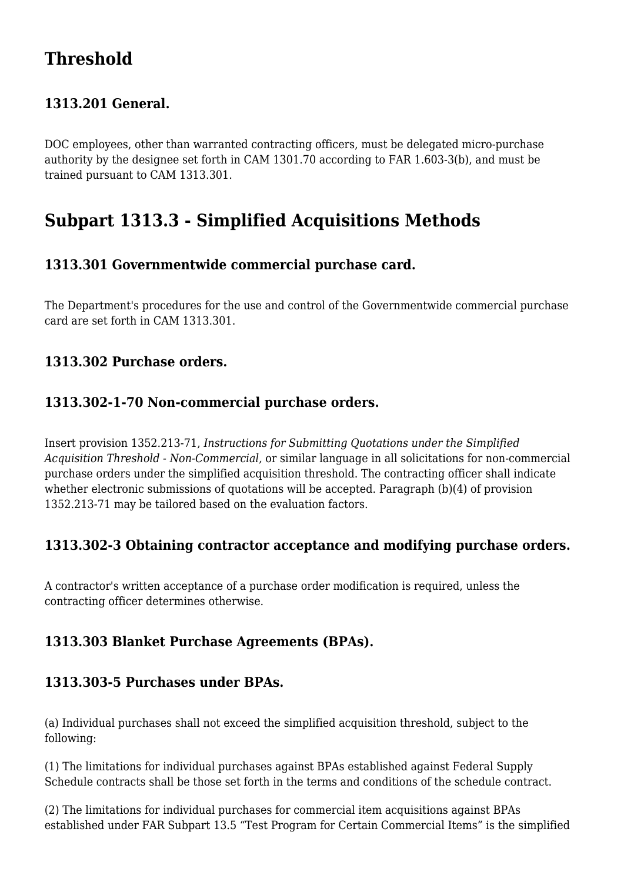## **Threshold**

#### **1313.201 General.**

DOC employees, other than warranted contracting officers, must be delegated micro-purchase authority by the designee set forth in CAM 1301.70 according to FAR 1.603-3(b), and must be trained pursuant to CAM 1313.301.

### **Subpart 1313.3 - Simplified Acquisitions Methods**

#### **1313.301 Governmentwide commercial purchase card.**

The Department's procedures for the use and control of the Governmentwide commercial purchase card are set forth in CAM 1313.301.

#### **1313.302 Purchase orders.**

#### **1313.302-1-70 Non-commercial purchase orders.**

Insert provision 1352.213-71, *Instructions for Submitting Quotations under the Simplified Acquisition Threshold - Non-Commercial,* or similar language in all solicitations for non-commercial purchase orders under the simplified acquisition threshold. The contracting officer shall indicate whether electronic submissions of quotations will be accepted. Paragraph (b)(4) of provision 1352.213-71 may be tailored based on the evaluation factors.

#### **1313.302-3 Obtaining contractor acceptance and modifying purchase orders.**

A contractor's written acceptance of a purchase order modification is required, unless the contracting officer determines otherwise.

#### **1313.303 Blanket Purchase Agreements (BPAs).**

#### **1313.303-5 Purchases under BPAs.**

(a) Individual purchases shall not exceed the simplified acquisition threshold, subject to the following:

(1) The limitations for individual purchases against BPAs established against Federal Supply Schedule contracts shall be those set forth in the terms and conditions of the schedule contract.

(2) The limitations for individual purchases for commercial item acquisitions against BPAs established under FAR Subpart 13.5 "Test Program for Certain Commercial Items" is the simplified